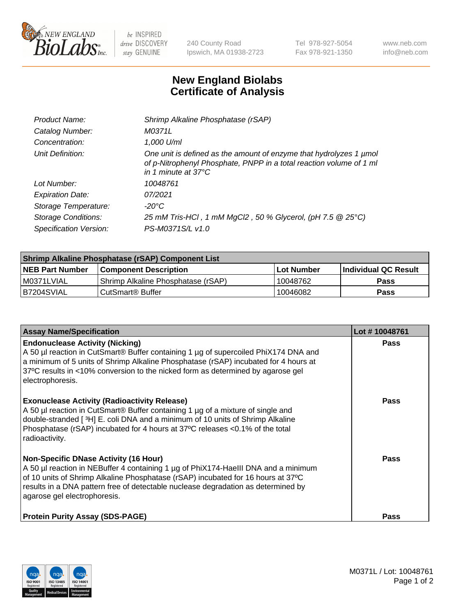

 $be$  INSPIRED drive DISCOVERY stay GENUINE

240 County Road Ipswich, MA 01938-2723 Tel 978-927-5054 Fax 978-921-1350 www.neb.com info@neb.com

## **New England Biolabs Certificate of Analysis**

| Product Name:              | Shrimp Alkaline Phosphatase (rSAP)                                                                                                                                         |
|----------------------------|----------------------------------------------------------------------------------------------------------------------------------------------------------------------------|
| Catalog Number:            | M0371L                                                                                                                                                                     |
| Concentration:             | 1,000 U/ml                                                                                                                                                                 |
| Unit Definition:           | One unit is defined as the amount of enzyme that hydrolyzes 1 µmol<br>of p-Nitrophenyl Phosphate, PNPP in a total reaction volume of 1 ml<br>in 1 minute at $37^{\circ}$ C |
| Lot Number:                | 10048761                                                                                                                                                                   |
| <b>Expiration Date:</b>    | 07/2021                                                                                                                                                                    |
| Storage Temperature:       | $-20^{\circ}$ C                                                                                                                                                            |
| <b>Storage Conditions:</b> | 25 mM Tris-HCl, 1 mM MgCl2, 50 % Glycerol, (pH 7.5 @ 25°C)                                                                                                                 |
| Specification Version:     | PS-M0371S/L v1.0                                                                                                                                                           |

| Shrimp Alkaline Phosphatase (rSAP) Component List |                                    |             |                      |  |
|---------------------------------------------------|------------------------------------|-------------|----------------------|--|
| <b>NEB Part Number</b>                            | <b>Component Description</b>       | ∣Lot Number | Individual QC Result |  |
| I M0371LVIAL                                      | Shrimp Alkaline Phosphatase (rSAP) | 10048762    | Pass                 |  |
| B7204SVIAL                                        | l CutSmart® Buffer                 | 10046082    | Pass                 |  |

| <b>Assay Name/Specification</b>                                                                                                                                                                                                                                                                                                             | Lot #10048761 |
|---------------------------------------------------------------------------------------------------------------------------------------------------------------------------------------------------------------------------------------------------------------------------------------------------------------------------------------------|---------------|
| <b>Endonuclease Activity (Nicking)</b><br>A 50 µl reaction in CutSmart® Buffer containing 1 µg of supercoiled PhiX174 DNA and<br>a minimum of 5 units of Shrimp Alkaline Phosphatase (rSAP) incubated for 4 hours at<br>37°C results in <10% conversion to the nicked form as determined by agarose gel<br>electrophoresis.                 | <b>Pass</b>   |
| <b>Exonuclease Activity (Radioactivity Release)</b><br>A 50 µl reaction in CutSmart® Buffer containing 1 µg of a mixture of single and<br>double-stranded [ <sup>3</sup> H] E. coli DNA and a minimum of 10 units of Shrimp Alkaline<br>Phosphatase (rSAP) incubated for 4 hours at 37°C releases <0.1% of the total<br>radioactivity.      | <b>Pass</b>   |
| <b>Non-Specific DNase Activity (16 Hour)</b><br>A 50 µl reaction in NEBuffer 4 containing 1 µg of PhiX174-HaellI DNA and a minimum<br>of 10 units of Shrimp Alkaline Phosphatase (rSAP) incubated for 16 hours at 37°C<br>results in a DNA pattern free of detectable nuclease degradation as determined by<br>agarose gel electrophoresis. | <b>Pass</b>   |
| <b>Protein Purity Assay (SDS-PAGE)</b>                                                                                                                                                                                                                                                                                                      | <b>Pass</b>   |